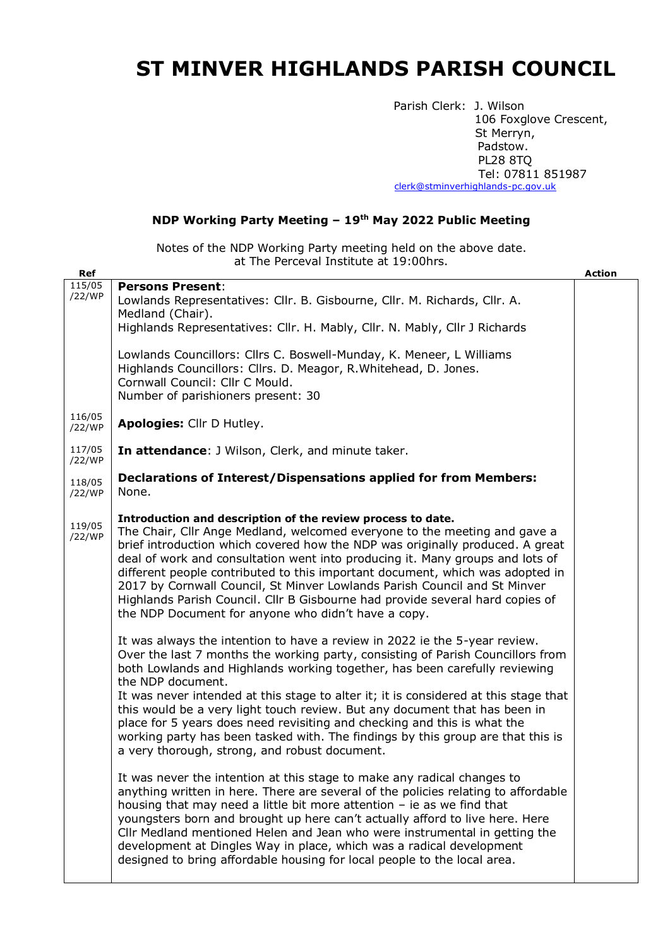## **ST MINVER HIGHLANDS PARISH COUNCIL**

Parish Clerk: J. Wilson 106 Foxglove Crescent, St Merryn, Padstow. PL28 8TQ Tel: 07811 851987 [clerk@stminverhighlands-pc.gov.uk](mailto:clerk@stminverhighlands-pc.gov.uk)

## **NDP Working Party Meeting – 19th May 2022 Public Meeting**

Notes of the NDP Working Party meeting held on the above date. at The Perceval Institute at 19:00hrs.

| Ref              |                                                                                                                                                                                                                                                                                                                                                                                                                                                                                                                                                                                                                                                        | Action |
|------------------|--------------------------------------------------------------------------------------------------------------------------------------------------------------------------------------------------------------------------------------------------------------------------------------------------------------------------------------------------------------------------------------------------------------------------------------------------------------------------------------------------------------------------------------------------------------------------------------------------------------------------------------------------------|--------|
| 115/05<br>/22/WP | <b>Persons Present:</b><br>Lowlands Representatives: Cllr. B. Gisbourne, Cllr. M. Richards, Cllr. A.<br>Medland (Chair).                                                                                                                                                                                                                                                                                                                                                                                                                                                                                                                               |        |
|                  | Highlands Representatives: Cllr. H. Mably, Cllr. N. Mably, Cllr J Richards                                                                                                                                                                                                                                                                                                                                                                                                                                                                                                                                                                             |        |
|                  | Lowlands Councillors: Cllrs C. Boswell-Munday, K. Meneer, L Williams<br>Highlands Councillors: Cllrs. D. Meagor, R. Whitehead, D. Jones.<br>Cornwall Council: Cllr C Mould.<br>Number of parishioners present: 30                                                                                                                                                                                                                                                                                                                                                                                                                                      |        |
| 116/05<br>/22/WP | Apologies: Cllr D Hutley.                                                                                                                                                                                                                                                                                                                                                                                                                                                                                                                                                                                                                              |        |
| 117/05<br>/22/WP | In attendance: J Wilson, Clerk, and minute taker.                                                                                                                                                                                                                                                                                                                                                                                                                                                                                                                                                                                                      |        |
| 118/05<br>/22/WP | <b>Declarations of Interest/Dispensations applied for from Members:</b><br>None.                                                                                                                                                                                                                                                                                                                                                                                                                                                                                                                                                                       |        |
| 119/05<br>/22/WP | Introduction and description of the review process to date.<br>The Chair, Cllr Ange Medland, welcomed everyone to the meeting and gave a<br>brief introduction which covered how the NDP was originally produced. A great<br>deal of work and consultation went into producing it. Many groups and lots of<br>different people contributed to this important document, which was adopted in<br>2017 by Cornwall Council, St Minver Lowlands Parish Council and St Minver<br>Highlands Parish Council. Cllr B Gisbourne had provide several hard copies of<br>the NDP Document for anyone who didn't have a copy.                                       |        |
|                  | It was always the intention to have a review in 2022 ie the 5-year review.<br>Over the last 7 months the working party, consisting of Parish Councillors from<br>both Lowlands and Highlands working together, has been carefully reviewing<br>the NDP document.<br>It was never intended at this stage to alter it; it is considered at this stage that<br>this would be a very light touch review. But any document that has been in<br>place for 5 years does need revisiting and checking and this is what the<br>working party has been tasked with. The findings by this group are that this is<br>a very thorough, strong, and robust document. |        |
|                  | It was never the intention at this stage to make any radical changes to<br>anything written in here. There are several of the policies relating to affordable<br>housing that may need a little bit more attention $-$ ie as we find that<br>youngsters born and brought up here can't actually afford to live here. Here<br>CIIr Medland mentioned Helen and Jean who were instrumental in getting the<br>development at Dingles Way in place, which was a radical development<br>designed to bring affordable housing for local people to the local area.                                                                                            |        |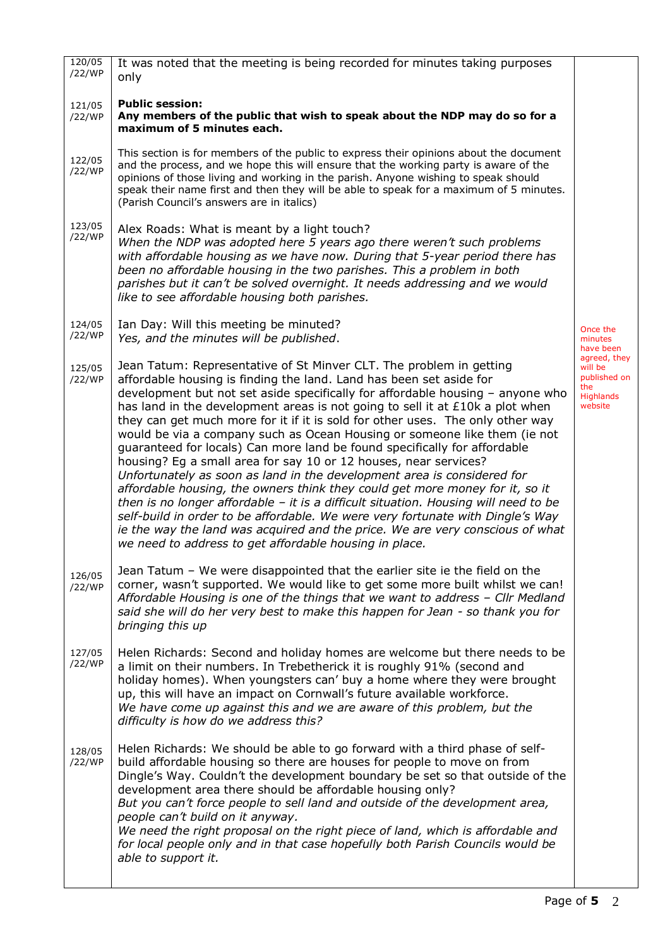| 120/05<br>/22/WP | It was noted that the meeting is being recorded for minutes taking purposes                                                                                                                                                                                                                                                                                                                                                                                                                                                                                                                                                                                                                                                                                                                                                                                                                                                                                                                                                                                                                                      |                                                                        |
|------------------|------------------------------------------------------------------------------------------------------------------------------------------------------------------------------------------------------------------------------------------------------------------------------------------------------------------------------------------------------------------------------------------------------------------------------------------------------------------------------------------------------------------------------------------------------------------------------------------------------------------------------------------------------------------------------------------------------------------------------------------------------------------------------------------------------------------------------------------------------------------------------------------------------------------------------------------------------------------------------------------------------------------------------------------------------------------------------------------------------------------|------------------------------------------------------------------------|
|                  | only                                                                                                                                                                                                                                                                                                                                                                                                                                                                                                                                                                                                                                                                                                                                                                                                                                                                                                                                                                                                                                                                                                             |                                                                        |
| 121/05<br>/22/WP | <b>Public session:</b><br>Any members of the public that wish to speak about the NDP may do so for a<br>maximum of 5 minutes each.                                                                                                                                                                                                                                                                                                                                                                                                                                                                                                                                                                                                                                                                                                                                                                                                                                                                                                                                                                               |                                                                        |
| 122/05<br>/22/WP | This section is for members of the public to express their opinions about the document<br>and the process, and we hope this will ensure that the working party is aware of the<br>opinions of those living and working in the parish. Anyone wishing to speak should<br>speak their name first and then they will be able to speak for a maximum of 5 minutes.<br>(Parish Council's answers are in italics)                                                                                                                                                                                                                                                                                                                                                                                                                                                                                                                                                                                                                                                                                                      |                                                                        |
| 123/05<br>/22/WP | Alex Roads: What is meant by a light touch?<br>When the NDP was adopted here 5 years ago there weren't such problems<br>with affordable housing as we have now. During that 5-year period there has<br>been no affordable housing in the two parishes. This a problem in both<br>parishes but it can't be solved overnight. It needs addressing and we would<br>like to see affordable housing both parishes.                                                                                                                                                                                                                                                                                                                                                                                                                                                                                                                                                                                                                                                                                                    |                                                                        |
| 124/05<br>/22/WP | Ian Day: Will this meeting be minuted?<br>Yes, and the minutes will be published.                                                                                                                                                                                                                                                                                                                                                                                                                                                                                                                                                                                                                                                                                                                                                                                                                                                                                                                                                                                                                                | Once the<br>minutes<br>have been                                       |
| 125/05<br>/22/WP | Jean Tatum: Representative of St Minver CLT. The problem in getting<br>affordable housing is finding the land. Land has been set aside for<br>development but not set aside specifically for affordable housing - anyone who<br>has land in the development areas is not going to sell it at $£10k$ a plot when<br>they can get much more for it if it is sold for other uses. The only other way<br>would be via a company such as Ocean Housing or someone like them (ie not<br>guaranteed for locals) Can more land be found specifically for affordable<br>housing? Eg a small area for say 10 or 12 houses, near services?<br>Unfortunately as soon as land in the development area is considered for<br>affordable housing, the owners think they could get more money for it, so it<br>then is no longer affordable $-$ it is a difficult situation. Housing will need to be<br>self-build in order to be affordable. We were very fortunate with Dingle's Way<br>ie the way the land was acquired and the price. We are very conscious of what<br>we need to address to get affordable housing in place. | agreed, they<br>will be<br>published on<br>the<br>Highlands<br>website |
| 126/05<br>/22/WP | Jean Tatum - We were disappointed that the earlier site ie the field on the<br>corner, wasn't supported. We would like to get some more built whilst we can!<br>Affordable Housing is one of the things that we want to address - Cllr Medland<br>said she will do her very best to make this happen for Jean - so thank you for<br>bringing this up                                                                                                                                                                                                                                                                                                                                                                                                                                                                                                                                                                                                                                                                                                                                                             |                                                                        |
| 127/05<br>/22/WP | Helen Richards: Second and holiday homes are welcome but there needs to be<br>a limit on their numbers. In Trebetherick it is roughly 91% (second and<br>holiday homes). When youngsters can' buy a home where they were brought<br>up, this will have an impact on Cornwall's future available workforce.<br>We have come up against this and we are aware of this problem, but the<br>difficulty is how do we address this?                                                                                                                                                                                                                                                                                                                                                                                                                                                                                                                                                                                                                                                                                    |                                                                        |
| 128/05<br>/22/WP | Helen Richards: We should be able to go forward with a third phase of self-<br>build affordable housing so there are houses for people to move on from<br>Dingle's Way. Couldn't the development boundary be set so that outside of the<br>development area there should be affordable housing only?<br>But you can't force people to sell land and outside of the development area,<br>people can't build on it anyway.<br>We need the right proposal on the right piece of land, which is affordable and<br>for local people only and in that case hopefully both Parish Councils would be<br>able to support it.                                                                                                                                                                                                                                                                                                                                                                                                                                                                                              |                                                                        |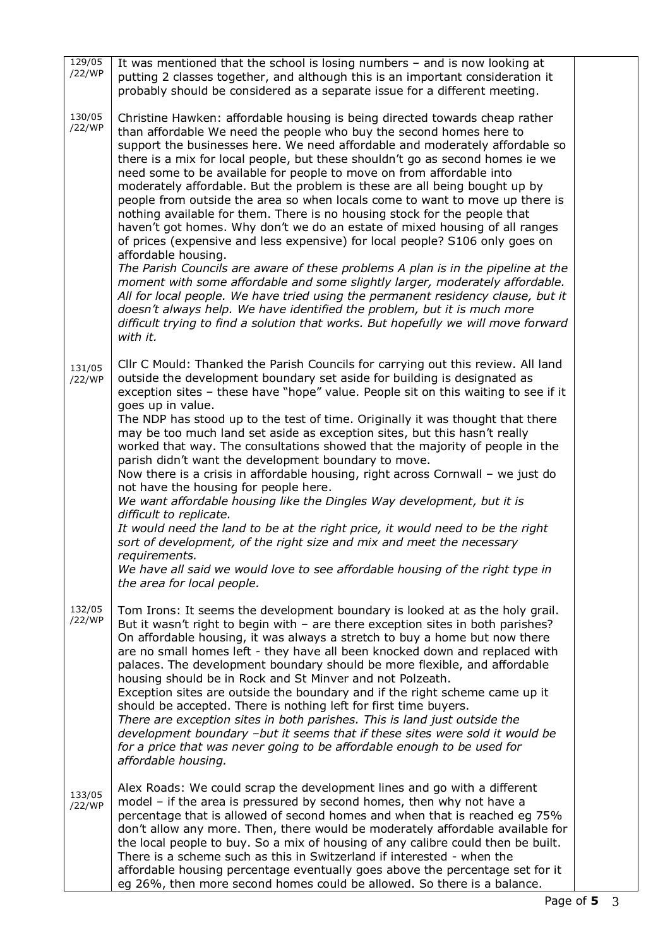| 129/05<br>/22/WP | It was mentioned that the school is losing numbers $-$ and is now looking at<br>putting 2 classes together, and although this is an important consideration it<br>probably should be considered as a separate issue for a different meeting.                                                                                                                                                                                                                                                                                                                                                                                                                                                                                                                                                                                                                                                                                                                                                                                                                                                                                                                                                                                                                       |  |
|------------------|--------------------------------------------------------------------------------------------------------------------------------------------------------------------------------------------------------------------------------------------------------------------------------------------------------------------------------------------------------------------------------------------------------------------------------------------------------------------------------------------------------------------------------------------------------------------------------------------------------------------------------------------------------------------------------------------------------------------------------------------------------------------------------------------------------------------------------------------------------------------------------------------------------------------------------------------------------------------------------------------------------------------------------------------------------------------------------------------------------------------------------------------------------------------------------------------------------------------------------------------------------------------|--|
| 130/05<br>/22/WP | Christine Hawken: affordable housing is being directed towards cheap rather<br>than affordable We need the people who buy the second homes here to<br>support the businesses here. We need affordable and moderately affordable so<br>there is a mix for local people, but these shouldn't go as second homes ie we<br>need some to be available for people to move on from affordable into<br>moderately affordable. But the problem is these are all being bought up by<br>people from outside the area so when locals come to want to move up there is<br>nothing available for them. There is no housing stock for the people that<br>haven't got homes. Why don't we do an estate of mixed housing of all ranges<br>of prices (expensive and less expensive) for local people? S106 only goes on<br>affordable housing.<br>The Parish Councils are aware of these problems A plan is in the pipeline at the<br>moment with some affordable and some slightly larger, moderately affordable.<br>All for local people. We have tried using the permanent residency clause, but it<br>doesn't always help. We have identified the problem, but it is much more<br>difficult trying to find a solution that works. But hopefully we will move forward<br>with it. |  |
| 131/05<br>/22/WP | Cllr C Mould: Thanked the Parish Councils for carrying out this review. All land<br>outside the development boundary set aside for building is designated as<br>exception sites - these have "hope" value. People sit on this waiting to see if it<br>goes up in value.<br>The NDP has stood up to the test of time. Originally it was thought that there<br>may be too much land set aside as exception sites, but this hasn't really<br>worked that way. The consultations showed that the majority of people in the<br>parish didn't want the development boundary to move.<br>Now there is a crisis in affordable housing, right across Cornwall $-$ we just do<br>not have the housing for people here.<br>We want affordable housing like the Dingles Way development, but it is<br>difficult to replicate.<br>It would need the land to be at the right price, it would need to be the right<br>sort of development, of the right size and mix and meet the necessary<br>requirements.<br>We have all said we would love to see affordable housing of the right type in<br>the area for local people.                                                                                                                                                       |  |
| 132/05<br>/22/WP | Tom Irons: It seems the development boundary is looked at as the holy grail.<br>But it wasn't right to begin with - are there exception sites in both parishes?<br>On affordable housing, it was always a stretch to buy a home but now there<br>are no small homes left - they have all been knocked down and replaced with<br>palaces. The development boundary should be more flexible, and affordable<br>housing should be in Rock and St Minver and not Polzeath.<br>Exception sites are outside the boundary and if the right scheme came up it<br>should be accepted. There is nothing left for first time buyers.<br>There are exception sites in both parishes. This is land just outside the<br>development boundary -but it seems that if these sites were sold it would be<br>for a price that was never going to be affordable enough to be used for<br>affordable housing.                                                                                                                                                                                                                                                                                                                                                                           |  |
| 133/05<br>/22/WP | Alex Roads: We could scrap the development lines and go with a different<br>model - if the area is pressured by second homes, then why not have a<br>percentage that is allowed of second homes and when that is reached eg 75%<br>don't allow any more. Then, there would be moderately affordable available for<br>the local people to buy. So a mix of housing of any calibre could then be built.<br>There is a scheme such as this in Switzerland if interested - when the<br>affordable housing percentage eventually goes above the percentage set for it<br>eg 26%, then more second homes could be allowed. So there is a balance.                                                                                                                                                                                                                                                                                                                                                                                                                                                                                                                                                                                                                        |  |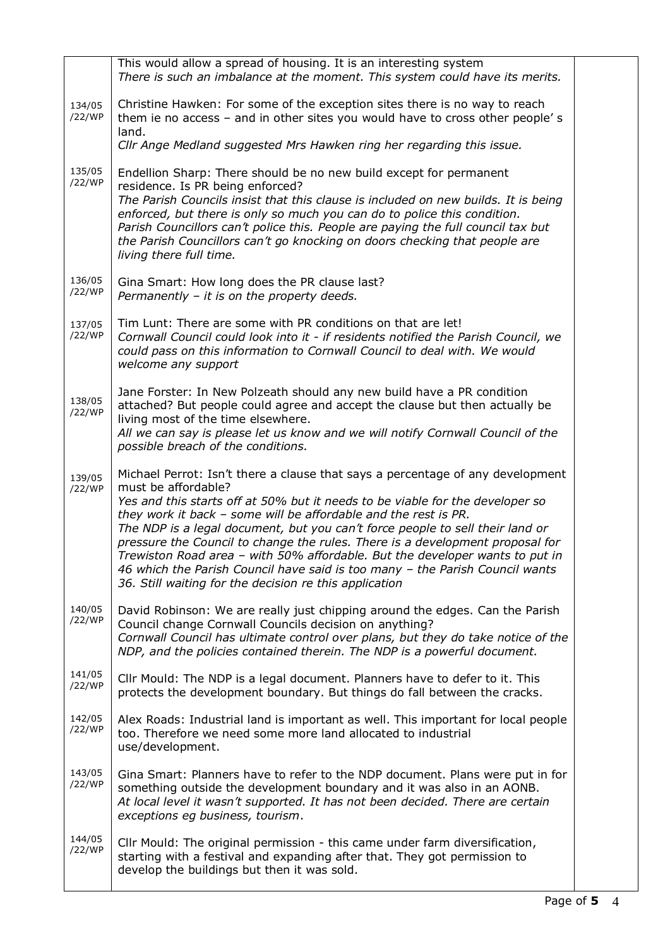|                  | This would allow a spread of housing. It is an interesting system<br>There is such an imbalance at the moment. This system could have its merits.                                                                                                                                                                                                                                                                                                                                                                                                                                                                                                     |  |
|------------------|-------------------------------------------------------------------------------------------------------------------------------------------------------------------------------------------------------------------------------------------------------------------------------------------------------------------------------------------------------------------------------------------------------------------------------------------------------------------------------------------------------------------------------------------------------------------------------------------------------------------------------------------------------|--|
| 134/05<br>/22/WP | Christine Hawken: For some of the exception sites there is no way to reach<br>them ie no access - and in other sites you would have to cross other people's<br>land.                                                                                                                                                                                                                                                                                                                                                                                                                                                                                  |  |
|                  | Cllr Ange Medland suggested Mrs Hawken ring her regarding this issue.                                                                                                                                                                                                                                                                                                                                                                                                                                                                                                                                                                                 |  |
| 135/05<br>/22/WP | Endellion Sharp: There should be no new build except for permanent<br>residence. Is PR being enforced?<br>The Parish Councils insist that this clause is included on new builds. It is being<br>enforced, but there is only so much you can do to police this condition.<br>Parish Councillors can't police this. People are paying the full council tax but<br>the Parish Councillors can't go knocking on doors checking that people are<br>living there full time.                                                                                                                                                                                 |  |
| 136/05<br>/22/WP | Gina Smart: How long does the PR clause last?<br>Permanently - it is on the property deeds.                                                                                                                                                                                                                                                                                                                                                                                                                                                                                                                                                           |  |
| 137/05<br>/22/WP | Tim Lunt: There are some with PR conditions on that are let!<br>Cornwall Council could look into it - if residents notified the Parish Council, we<br>could pass on this information to Cornwall Council to deal with. We would<br>welcome any support                                                                                                                                                                                                                                                                                                                                                                                                |  |
| 138/05<br>/22/WP | Jane Forster: In New Polzeath should any new build have a PR condition<br>attached? But people could agree and accept the clause but then actually be<br>living most of the time elsewhere.<br>All we can say is please let us know and we will notify Cornwall Council of the<br>possible breach of the conditions.                                                                                                                                                                                                                                                                                                                                  |  |
| 139/05<br>/22/WP | Michael Perrot: Isn't there a clause that says a percentage of any development<br>must be affordable?<br>Yes and this starts off at 50% but it needs to be viable for the developer so<br>they work it back - some will be affordable and the rest is PR.<br>The NDP is a legal document, but you can't force people to sell their land or<br>pressure the Council to change the rules. There is a development proposal for<br>Trewiston Road area - with 50% affordable. But the developer wants to put in<br>46 which the Parish Council have said is too many - the Parish Council wants<br>36. Still waiting for the decision re this application |  |
| 140/05<br>/22/WP | David Robinson: We are really just chipping around the edges. Can the Parish<br>Council change Cornwall Councils decision on anything?<br>Cornwall Council has ultimate control over plans, but they do take notice of the<br>NDP, and the policies contained therein. The NDP is a powerful document.                                                                                                                                                                                                                                                                                                                                                |  |
| 141/05<br>/22/WP | Cllr Mould: The NDP is a legal document. Planners have to defer to it. This<br>protects the development boundary. But things do fall between the cracks.                                                                                                                                                                                                                                                                                                                                                                                                                                                                                              |  |
| 142/05<br>/22/WP | Alex Roads: Industrial land is important as well. This important for local people<br>too. Therefore we need some more land allocated to industrial<br>use/development.                                                                                                                                                                                                                                                                                                                                                                                                                                                                                |  |
| 143/05<br>/22/WP | Gina Smart: Planners have to refer to the NDP document. Plans were put in for<br>something outside the development boundary and it was also in an AONB.<br>At local level it wasn't supported. It has not been decided. There are certain<br>exceptions eg business, tourism.                                                                                                                                                                                                                                                                                                                                                                         |  |
| 144/05<br>/22/WP | Cllr Mould: The original permission - this came under farm diversification,<br>starting with a festival and expanding after that. They got permission to<br>develop the buildings but then it was sold.                                                                                                                                                                                                                                                                                                                                                                                                                                               |  |